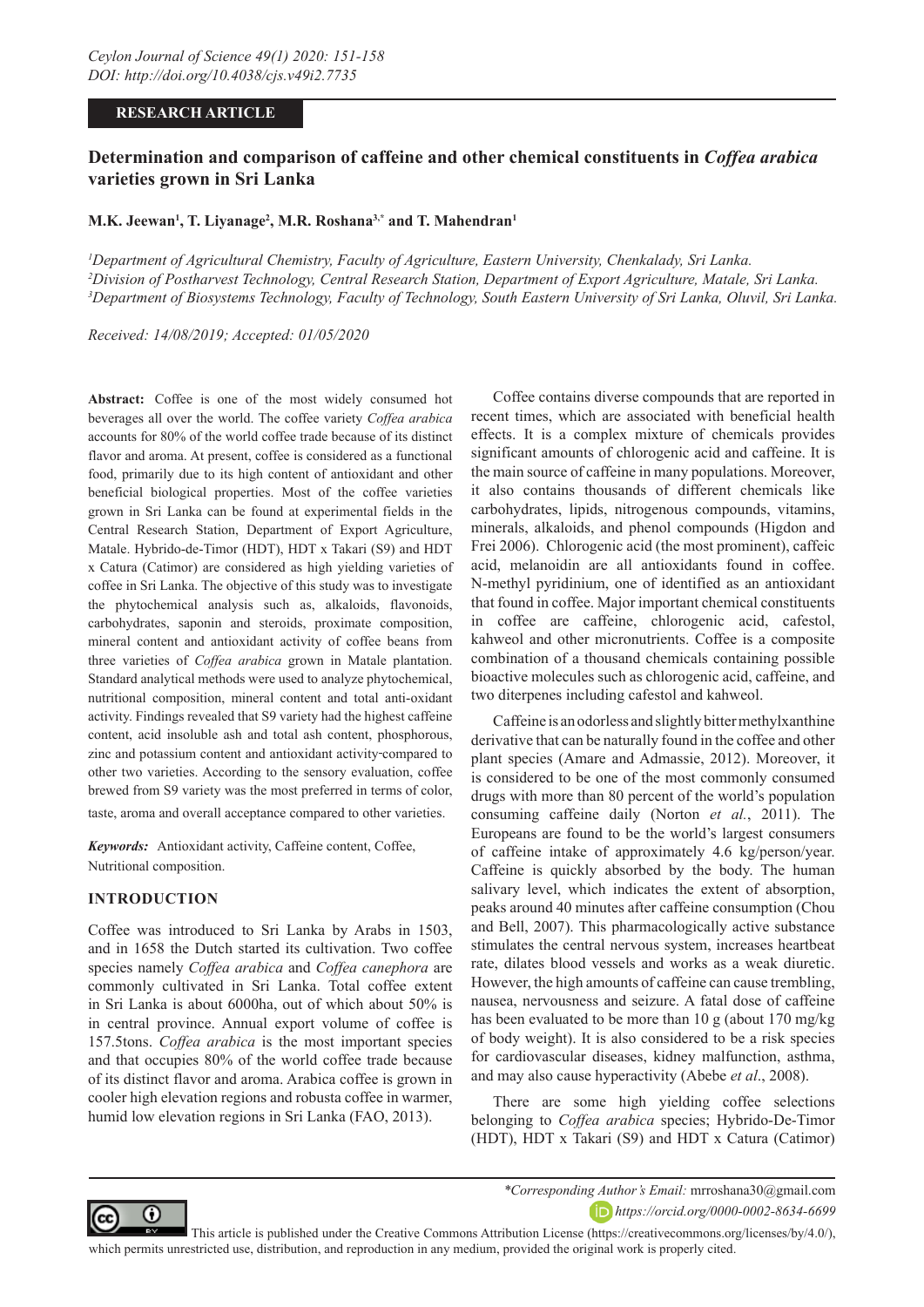## **RESEARCH ARTICLE**

# **Determination and comparison of caffeine and other chemical constituents in** *Coffea arabica*  **varieties grown in Sri Lanka**

## **M.K. Jeewan1 , T. Liyanage2 , M.R. Roshana3,\* and T. Mahendran1**

*1 Department of Agricultural Chemistry, Faculty of Agriculture, Eastern University, Chenkalady, Sri Lanka. 2 Division of Postharvest Technology, Central Research Station, Department of Export Agriculture, Matale, Sri Lanka. 3 Department of Biosystems Technology, Faculty of Technology, South Eastern University of Sri Lanka, Oluvil, Sri Lanka.*

*Received: 14/08/2019; Accepted: 01/05/2020*

**Abstract:** Coffee is one of the most widely consumed hot beverages all over the world. The coffee variety *Coffea arabica* accounts for 80% of the world coffee trade because of its distinct flavor and aroma. At present, coffee is considered as a functional food, primarily due to its high content of antioxidant and other beneficial biological properties. Most of the coffee varieties grown in Sri Lanka can be found at experimental fields in the Central Research Station, Department of Export Agriculture, Matale. Hybrido-de-Timor (HDT), HDT x Takari (S9) and HDT x Catura (Catimor) are considered as high yielding varieties of coffee in Sri Lanka. The objective of this study was to investigate the phytochemical analysis such as, alkaloids, flavonoids, carbohydrates, saponin and steroids, proximate composition, mineral content and antioxidant activity of coffee beans from three varieties of *Coffea arabica* grown in Matale plantation. Standard analytical methods were used to analyze phytochemical, nutritional composition, mineral content and total anti-oxidant activity. Findings revealed that S9 variety had the highest caffeine content, acid insoluble ash and total ash content, phosphorous, zinc and potassium content and antioxidant activity compared to other two varieties. According to the sensory evaluation, coffee brewed from S9 variety was the most preferred in terms of color, taste, aroma and overall acceptance compared to other varieties.

*Keywords:* Antioxidant activity, Caffeine content, Coffee, Nutritional composition.

#### **INTRODUCTION**

Coffee was introduced to Sri Lanka by Arabs in 1503, and in 1658 the Dutch started its cultivation. Two coffee species namely *Coffea arabica* and *Coffea canephora* are commonly cultivated in Sri Lanka. Total coffee extent in Sri Lanka is about 6000ha, out of which about 50% is in central province. Annual export volume of coffee is 157.5tons. *Coffea arabica* is the most important species and that occupies 80% of the world coffee trade because of its distinct flavor and aroma. Arabica coffee is grown in cooler high elevation regions and robusta coffee in warmer, humid low elevation regions in Sri Lanka (FAO, 2013).

Coffee contains diverse compounds that are reported in recent times, which are associated with beneficial health effects. It is a complex mixture of chemicals provides significant amounts of chlorogenic acid and caffeine. It is the main source of caffeine in many populations. Moreover, it also contains thousands of different chemicals like carbohydrates, lipids, nitrogenous compounds, vitamins, minerals, alkaloids, and phenol compounds (Higdon and Frei 2006). Chlorogenic acid (the most prominent), caffeic acid, melanoidin are all antioxidants found in coffee. N-methyl pyridinium, one of identified as an antioxidant that found in coffee. Major important chemical constituents in coffee are caffeine, chlorogenic acid, cafestol, kahweol and other micronutrients. Coffee is a composite combination of a thousand chemicals containing possible bioactive molecules such as chlorogenic acid, caffeine, and two diterpenes including cafestol and kahweol.

Caffeine is an odorless and slightly bitter methylxanthine derivative that can be naturally found in the coffee and other plant species (Amare and Admassie, 2012). Moreover, it is considered to be one of the most commonly consumed drugs with more than 80 percent of the world's population consuming caffeine daily (Norton *et al.*, 2011). The Europeans are found to be the world's largest consumers of caffeine intake of approximately 4.6 kg/person/year. Caffeine is quickly absorbed by the body. The human salivary level, which indicates the extent of absorption, peaks around 40 minutes after caffeine consumption (Chou and Bell, 2007). This pharmacologically active substance stimulates the central nervous system, increases heartbeat rate, dilates blood vessels and works as a weak diuretic. However, the high amounts of caffeine can cause trembling, nausea, nervousness and seizure. A fatal dose of caffeine has been evaluated to be more than 10 g (about 170 mg/kg of body weight). It is also considered to be a risk species for cardiovascular diseases, kidney malfunction, asthma, and may also cause hyperactivity (Abebe *et al*., 2008).

There are some high yielding coffee selections belonging to *Coffea arabica* species; Hybrido-De-Timor (HDT), HDT x Takari (S9) and HDT x Catura (Catimor)



*\*Corresponding Author's Email:* mrroshana30@gmail.com *https://orcid.org/0000-0002-8634-6699*

 This article is published under the Creative Commons Attribution License (https://creativecommons.org/licenses/by/4.0/), which permits unrestricted use, distribution, and reproduction in any medium, provided the original work is properly cited.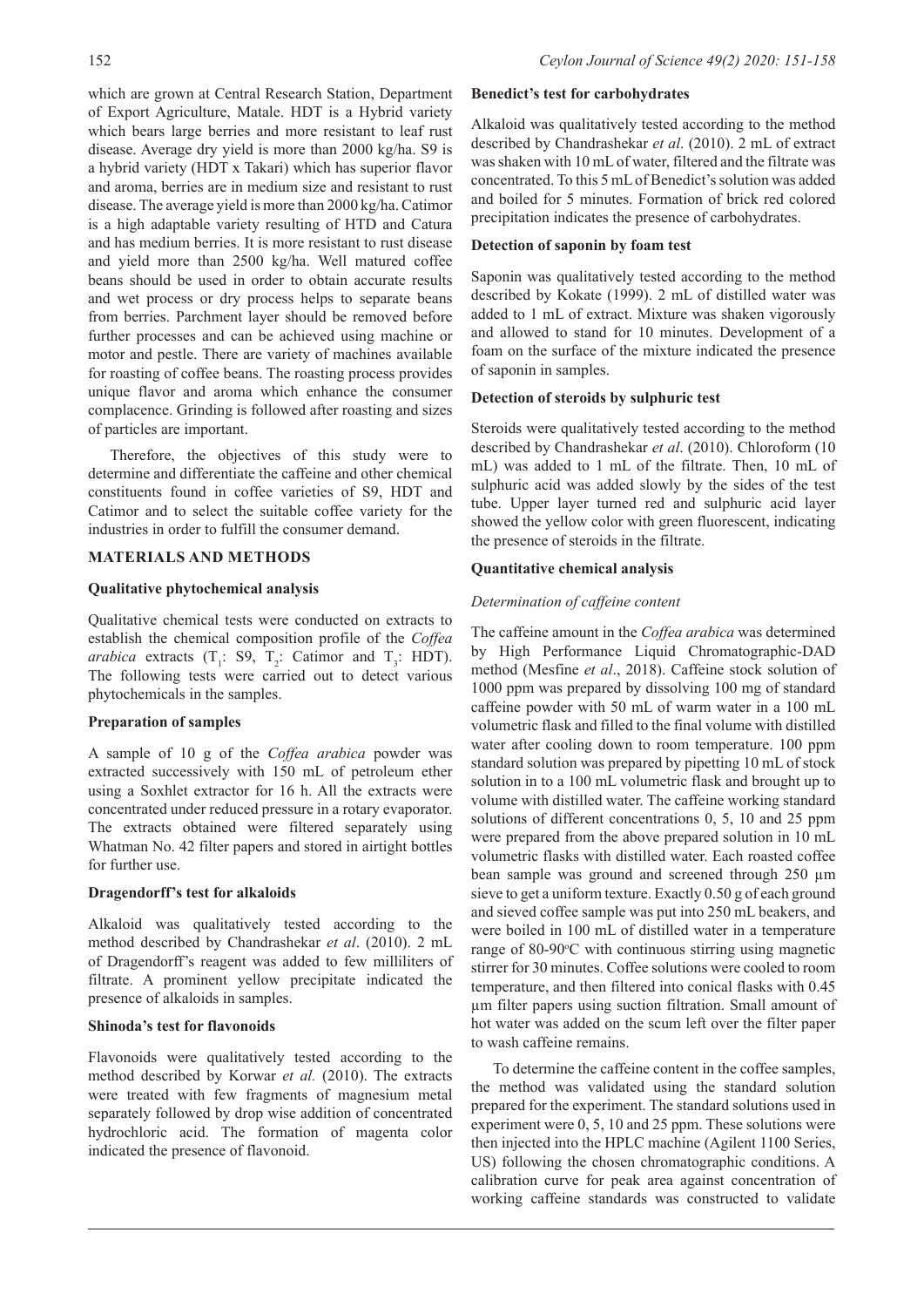which are grown at Central Research Station, Department of Export Agriculture, Matale. HDT is a Hybrid variety which bears large berries and more resistant to leaf rust disease. Average dry yield is more than 2000 kg/ha. S9 is a hybrid variety (HDT x Takari) which has superior flavor and aroma, berries are in medium size and resistant to rust disease. The average yield is more than 2000 kg/ha. Catimor is a high adaptable variety resulting of HTD and Catura and has medium berries. It is more resistant to rust disease and yield more than 2500 kg/ha. Well matured coffee beans should be used in order to obtain accurate results and wet process or dry process helps to separate beans from berries. Parchment layer should be removed before further processes and can be achieved using machine or motor and pestle. There are variety of machines available for roasting of coffee beans. The roasting process provides unique flavor and aroma which enhance the consumer complacence. Grinding is followed after roasting and sizes of particles are important.

Therefore, the objectives of this study were to determine and differentiate the caffeine and other chemical constituents found in coffee varieties of S9, HDT and Catimor and to select the suitable coffee variety for the industries in order to fulfill the consumer demand.

## **MATERIALS AND METHODS**

#### **Qualitative phytochemical analysis**

Qualitative chemical tests were conducted on extracts to establish the chemical composition profile of the *Coffea arabica* extracts  $(T_1: S9, T_2: Catimor and T_3: HDT)$ . The following tests were carried out to detect various phytochemicals in the samples.

#### **Preparation of samples**

A sample of 10 g of the *Coffea arabica* powder was extracted successively with 150 mL of petroleum ether using a Soxhlet extractor for 16 h. All the extracts were concentrated under reduced pressure in a rotary evaporator. The extracts obtained were filtered separately using Whatman No. 42 filter papers and stored in airtight bottles for further use.

## **Dragendorff's test for alkaloids**

Alkaloid was qualitatively tested according to the method described by Chandrashekar *et al*. (2010). 2 mL of Dragendorff's reagent was added to few milliliters of filtrate. A prominent yellow precipitate indicated the presence of alkaloids in samples.

#### **Shinoda's test for flavonoids**

Flavonoids were qualitatively tested according to the method described by Korwar *et al.* (2010). The extracts were treated with few fragments of magnesium metal separately followed by drop wise addition of concentrated hydrochloric acid. The formation of magenta color indicated the presence of flavonoid.

#### **Benedict's test for carbohydrates**

Alkaloid was qualitatively tested according to the method described by Chandrashekar *et al*. (2010). 2 mL of extract was shaken with 10 mL of water, filtered and the filtrate was concentrated. To this 5 mL of Benedict's solution was added and boiled for 5 minutes. Formation of brick red colored precipitation indicates the presence of carbohydrates.

## **Detection of saponin by foam test**

Saponin was qualitatively tested according to the method described by Kokate (1999). 2 mL of distilled water was added to 1 mL of extract. Mixture was shaken vigorously and allowed to stand for 10 minutes. Development of a foam on the surface of the mixture indicated the presence of saponin in samples.

## **Detection of steroids by sulphuric test**

Steroids were qualitatively tested according to the method described by Chandrashekar *et al*. (2010). Chloroform (10 mL) was added to 1 mL of the filtrate. Then, 10 mL of sulphuric acid was added slowly by the sides of the test tube. Upper layer turned red and sulphuric acid layer showed the yellow color with green fluorescent, indicating the presence of steroids in the filtrate.

#### **Quantitative chemical analysis**

## *Determination of caffeine content*

The caffeine amount in the *Coffea arabica* was determined by High Performance Liquid Chromatographic-DAD method (Mesfine *et al*., 2018). Caffeine stock solution of 1000 ppm was prepared by dissolving 100 mg of standard caffeine powder with 50 mL of warm water in a 100 mL volumetric flask and filled to the final volume with distilled water after cooling down to room temperature. 100 ppm standard solution was prepared by pipetting 10 mL of stock solution in to a 100 mL volumetric flask and brought up to volume with distilled water. The caffeine working standard solutions of different concentrations 0, 5, 10 and 25 ppm were prepared from the above prepared solution in 10 mL volumetric flasks with distilled water. Each roasted coffee bean sample was ground and screened through 250 µm sieve to get a uniform texture. Exactly 0.50 g of each ground and sieved coffee sample was put into 250 mL beakers, and were boiled in 100 mL of distilled water in a temperature range of 80-90°C with continuous stirring using magnetic stirrer for 30 minutes. Coffee solutions were cooled to room temperature, and then filtered into conical flasks with 0.45 µm filter papers using suction filtration. Small amount of hot water was added on the scum left over the filter paper to wash caffeine remains.

To determine the caffeine content in the coffee samples, the method was validated using the standard solution prepared for the experiment. The standard solutions used in experiment were 0, 5, 10 and 25 ppm. These solutions were then injected into the HPLC machine (Agilent 1100 Series, US) following the chosen chromatographic conditions. A calibration curve for peak area against concentration of working caffeine standards was constructed to validate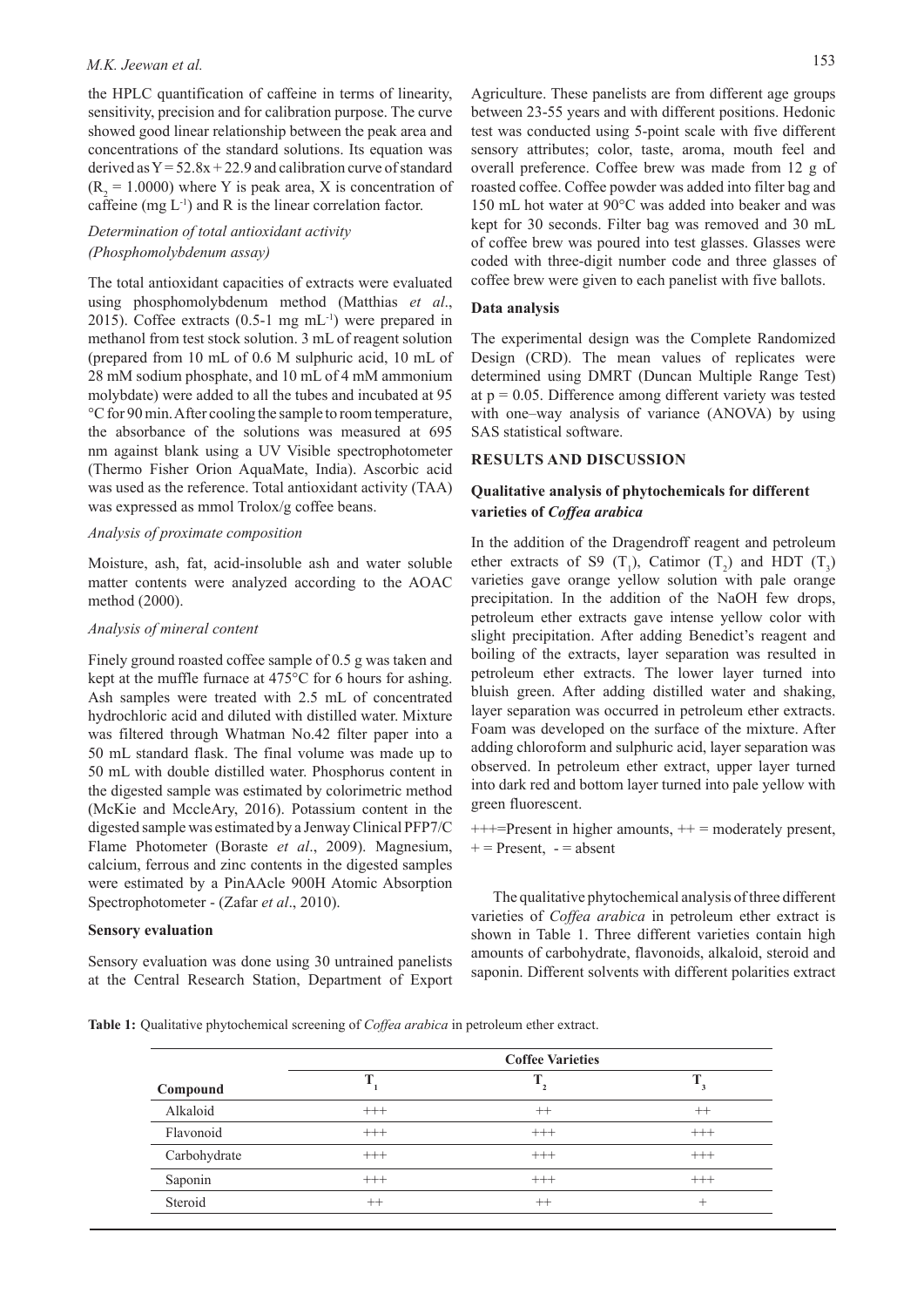# *M.K. Jeewan et al.* 153

the HPLC quantification of caffeine in terms of linearity, sensitivity, precision and for calibration purpose. The curve showed good linear relationship between the peak area and concentrations of the standard solutions. Its equation was derived as  $Y = 52.8x + 22.9$  and calibration curve of standard  $(R<sub>2</sub> = 1.0000)$  where Y is peak area, X is concentration of caffeine (mg  $L^{-1}$ ) and R is the linear correlation factor.

## *Determination of total antioxidant activity (Phosphomolybdenum assay)*

The total antioxidant capacities of extracts were evaluated using phosphomolybdenum method (Matthias *et al*., 2015). Coffee extracts  $(0.5-1 \text{ mg} \text{ mL}^{-1})$  were prepared in methanol from test stock solution. 3 mL of reagent solution (prepared from 10 mL of 0.6 M sulphuric acid, 10 mL of 28 mM sodium phosphate, and 10 mL of 4 mM ammonium molybdate) were added to all the tubes and incubated at 95 °C for 90 min. After cooling the sample to room temperature, the absorbance of the solutions was measured at 695 nm against blank using a UV Visible spectrophotometer (Thermo Fisher Orion AquaMate, India). Ascorbic acid was used as the reference. Total antioxidant activity (TAA) was expressed as mmol Trolox/g coffee beans.

#### *Analysis of proximate composition*

Moisture, ash, fat, acid-insoluble ash and water soluble matter contents were analyzed according to the AOAC method (2000).

### *Analysis of mineral content*

Finely ground roasted coffee sample of 0.5 g was taken and kept at the muffle furnace at 475°C for 6 hours for ashing. Ash samples were treated with 2.5 mL of concentrated hydrochloric acid and diluted with distilled water. Mixture was filtered through Whatman No.42 filter paper into a 50 mL standard flask. The final volume was made up to 50 mL with double distilled water. Phosphorus content in the digested sample was estimated by colorimetric method (McKie and MccleAry, 2016). Potassium content in the digested sample was estimated by a Jenway Clinical PFP7/C Flame Photometer (Boraste *et al*., 2009). Magnesium, calcium, ferrous and zinc contents in the digested samples were estimated by a PinAAcle 900H Atomic Absorption Spectrophotometer - (Zafar *et al*., 2010).

## **Sensory evaluation**

Sensory evaluation was done using 30 untrained panelists at the Central Research Station, Department of Export

#### **Data analysis**

The experimental design was the Complete Randomized Design (CRD). The mean values of replicates were determined using DMRT (Duncan Multiple Range Test) at  $p = 0.05$ . Difference among different variety was tested with one–way analysis of variance (ANOVA) by using SAS statistical software.

coffee brew were given to each panelist with five ballots.

#### **RESULTS AND DISCUSSION**

## **Qualitative analysis of phytochemicals for different varieties of** *Coffea arabica*

In the addition of the Dragendroff reagent and petroleum ether extracts of S9  $(T_1)$ , Catimor  $(T_2)$  and HDT  $(T_3)$ varieties gave orange yellow solution with pale orange precipitation. In the addition of the NaOH few drops, petroleum ether extracts gave intense yellow color with slight precipitation. After adding Benedict's reagent and boiling of the extracts, layer separation was resulted in petroleum ether extracts. The lower layer turned into bluish green. After adding distilled water and shaking, layer separation was occurred in petroleum ether extracts. Foam was developed on the surface of the mixture. After adding chloroform and sulphuric acid, layer separation was observed. In petroleum ether extract, upper layer turned into dark red and bottom layer turned into pale yellow with green fluorescent.

 $+++$ =Present in higher amounts,  $++$  = moderately present,  $+=$  Present,  $=$  absent

The qualitative phytochemical analysis of three different varieties of *Coffea arabica* in petroleum ether extract is shown in Table 1. Three different varieties contain high amounts of carbohydrate, flavonoids, alkaloid, steroid and saponin. Different solvents with different polarities extract

**Table 1:** Qualitative phytochemical screening of *Coffea arabica* in petroleum ether extract.

|              | <b>Coffee Varieties</b> |               |          |  |  |
|--------------|-------------------------|---------------|----------|--|--|
| Compound     |                         | $\rightarrow$ |          |  |  |
| Alkaloid     | $+++$                   | $^{++}$       | $^{++}$  |  |  |
| Flavonoid    | $^{+++}$                | $^{+++}$      | $^{+++}$ |  |  |
| Carbohydrate | $^{+++}$                | $^{+++}$      | $^{+++}$ |  |  |
| Saponin      | $^{+++}$                | $^{+++}$      | $^{+++}$ |  |  |
| Steroid      | $^{++}$                 | $^{++}$       | +        |  |  |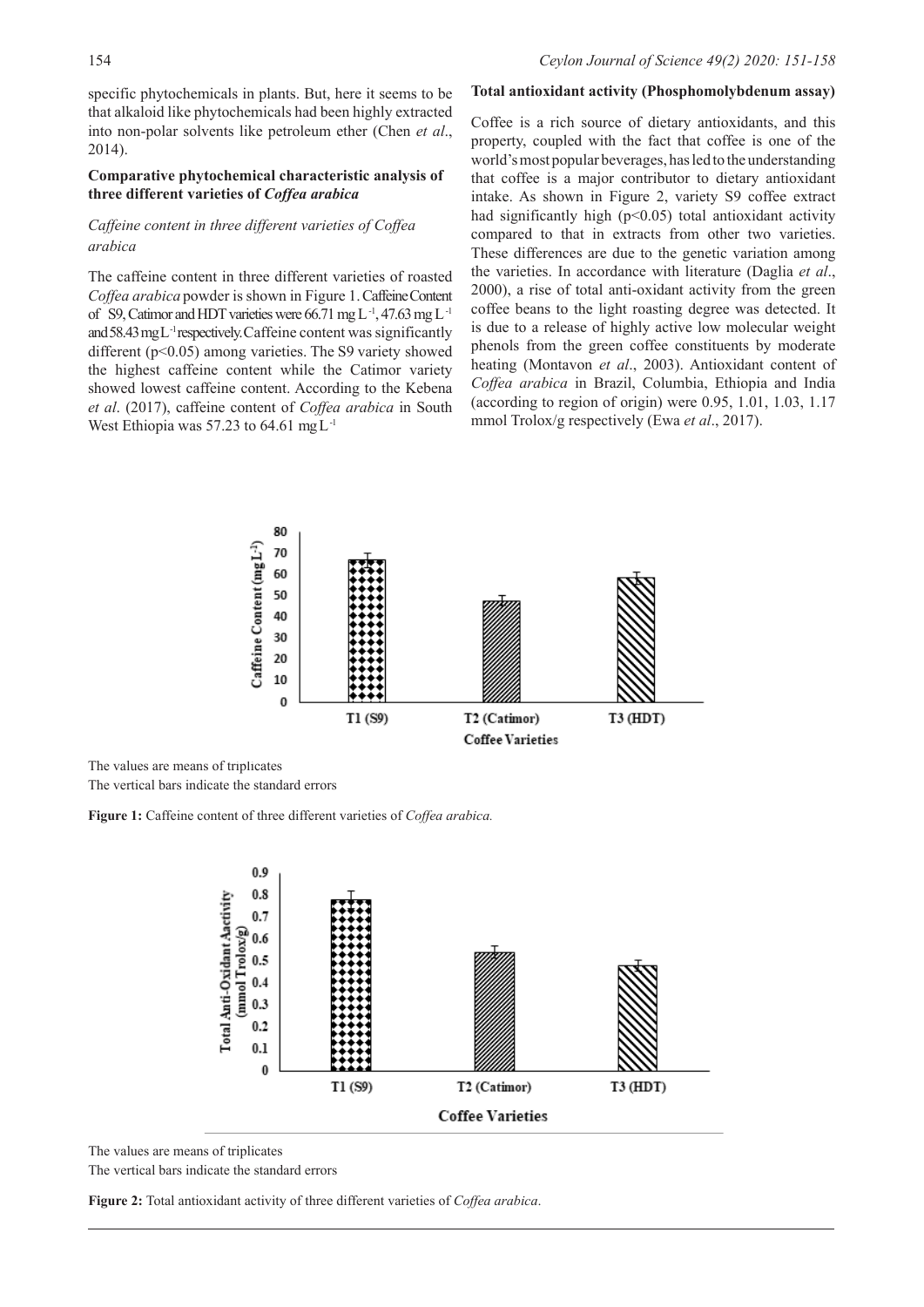specific phytochemicals in plants. But, here it seems to be that alkaloid like phytochemicals had been highly extracted into non-polar solvents like petroleum ether (Chen *et al*., 2014).

## **Comparative phytochemical characteristic analysis of three different varieties of** *Coffea arabica*

## *Caffeine content in three different varieties of Coffea arabica*

The caffeine content in three different varieties of roasted *Coffea arabica* powder is shown in Figure 1. Caffeine Content of S9, Catimor and HDT varieties were 66.71 mg L<sup>-1</sup>, 47.63 mg L<sup>-1</sup> and 58.43 mg L<sup>-1</sup> respectively. Caffeine content was significantly different (p<0.05) among varieties. The S9 variety showed the highest caffeine content while the Catimor variety showed lowest caffeine content. According to the Kebena *et al*. (2017), caffeine content of *Coffea arabica* in South West Ethiopia was 57.23 to 64.61 mg  $L^{-1}$ 

Coffee is a rich source of dietary antioxidants, and this property, coupled with the fact that coffee is one of the world's most popular beverages, has led to the understanding that coffee is a major contributor to dietary antioxidant intake. As shown in Figure 2, variety S9 coffee extract had significantly high  $(p<0.05)$  total antioxidant activity compared to that in extracts from other two varieties. These differences are due to the genetic variation among the varieties. In accordance with literature (Daglia *et al*., 2000), a rise of total anti-oxidant activity from the green coffee beans to the light roasting degree was detected. It is due to a release of highly active low molecular weight phenols from the green coffee constituents by moderate heating (Montavon *et al*., 2003). Antioxidant content of *Coffea arabica* in Brazil, Columbia, Ethiopia and India (according to region of origin) were 0.95, 1.01, 1.03, 1.17 mmol Trolox/g respectively (Ewa *et al*., 2017).

**Total antioxidant activity (Phosphomolybdenum assay)**



The values are means of triplicates

The vertical bars indicate the standard errors

**Figure 1:** Caffeine content of three different varieties of *Coffea arabica.*



The values are means of triplicates The vertical bars indicate the standard errors

**Figure 2:** Total antioxidant activity of three different varieties of *Coffea arabica*.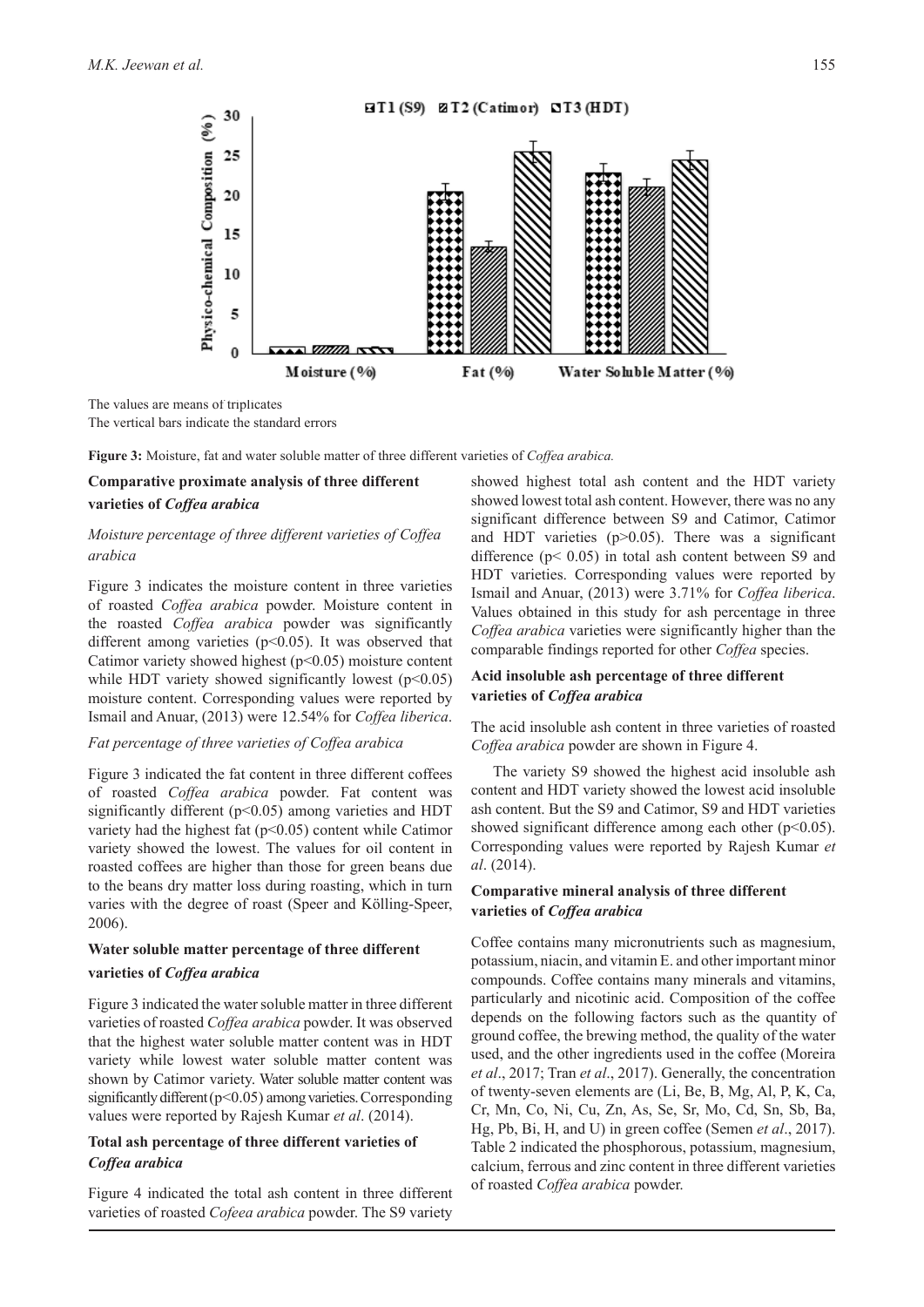

The values are means of triplicates The vertical bars indicate the standard errors

**Figure 3:** Moisture, fat and water soluble matter of three different varieties of *Coffea arabica.*

## **Comparative proximate analysis of three different**

#### **varieties of** *Coffea arabica*

## *Moisture percentage of three different varieties of Coffea arabica*

Figure 3 indicates the moisture content in three varieties of roasted *Coffea arabica* powder. Moisture content in the roasted *Coffea arabica* powder was significantly different among varieties  $(p<0.05)$ . It was observed that Catimor variety showed highest  $(p<0.05)$  moisture content while HDT variety showed significantly lowest  $(p<0.05)$ moisture content. Corresponding values were reported by Ismail and Anuar, (2013) were 12.54% for *Coffea liberica*.

### *Fat percentage of three varieties of Coffea arabica*

Figure 3 indicated the fat content in three different coffees of roasted *Coffea arabica* powder. Fat content was significantly different ( $p$ <0.05) among varieties and HDT variety had the highest fat  $(p<0.05)$  content while Catimor variety showed the lowest. The values for oil content in roasted coffees are higher than those for green beans due to the beans dry matter loss during roasting, which in turn varies with the degree of roast (Speer and Kölling-Speer, 2006).

#### **Water soluble matter percentage of three different**

#### **varieties of** *Coffea arabica*

Figure 3 indicated the water soluble matter in three different varieties of roasted *Coffea arabica* powder. It was observed that the highest water soluble matter content was in HDT variety while lowest water soluble matter content was shown by Catimor variety. Water soluble matter content was significantly different (p<0.05) among varieties. Corresponding values were reported by Rajesh Kumar *et al*. (2014).

### **Total ash percentage of three different varieties of**  *Coffea arabica*

Figure 4 indicated the total ash content in three different varieties of roasted *Cofeea arabica* powder. The S9 variety

showed highest total ash content and the HDT variety showed lowest total ash content. However, there was no any significant difference between S9 and Catimor, Catimor and HDT varieties  $(p>0.05)$ . There was a significant difference  $(p< 0.05)$  in total ash content between S9 and HDT varieties. Corresponding values were reported by Ismail and Anuar, (2013) were 3.71% for *Coffea liberica*. Values obtained in this study for ash percentage in three *Coffea arabica* varieties were significantly higher than the comparable findings reported for other *Coffea* species.

## **Acid insoluble ash percentage of three different varieties of** *Coffea arabica*

The acid insoluble ash content in three varieties of roasted *Coffea arabica* powder are shown in Figure 4.

The variety S9 showed the highest acid insoluble ash content and HDT variety showed the lowest acid insoluble ash content. But the S9 and Catimor, S9 and HDT varieties showed significant difference among each other  $(p<0.05)$ . Corresponding values were reported by Rajesh Kumar *et al*. (2014).

## **Comparative mineral analysis of three different varieties of** *Coffea arabica*

Coffee contains many micronutrients such as magnesium, potassium, niacin, and vitamin E. and other important minor compounds. Coffee contains many minerals and vitamins, particularly and nicotinic acid. Composition of the coffee depends on the following factors such as the quantity of ground coffee, the brewing method, the quality of the water used, and the other ingredients used in the coffee (Moreira *et al*., 2017; Tran *et al*., 2017). Generally, the concentration of twenty-seven elements are (Li, Be, B, Mg, Al, P, K, Ca, Cr, Mn, Co, Ni, Cu, Zn, As, Se, Sr, Mo, Cd, Sn, Sb, Ba, Hg, Pb, Bi, Н, and U) in green coffee (Semen *et al*., 2017). Table 2 indicated the phosphorous, potassium, magnesium, calcium, ferrous and zinc content in three different varieties of roasted *Coffea arabica* powder.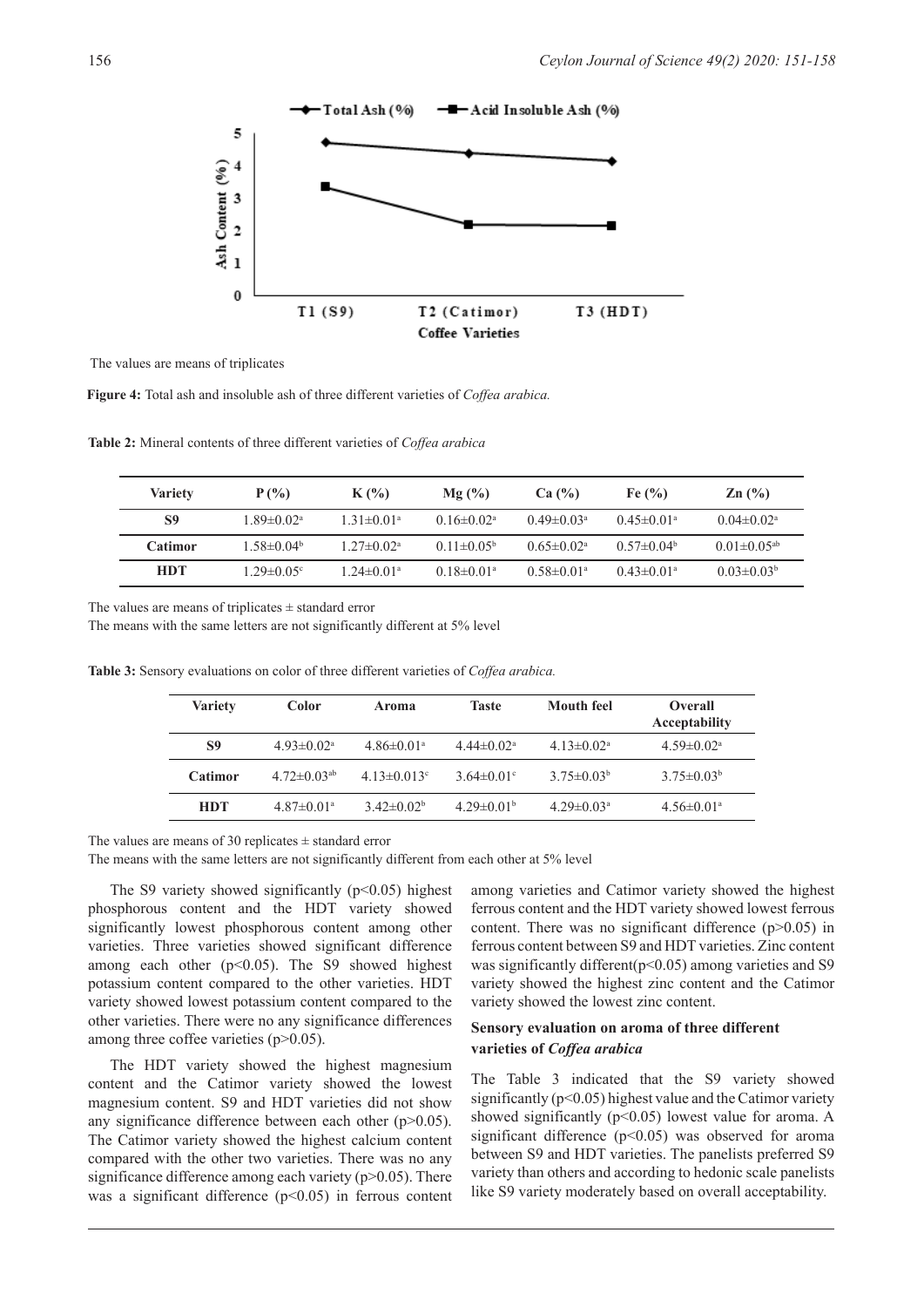

The values are means of triplicates

**Figure 4:** Total ash and insoluble ash of three different varieties of *Coffea arabica.*

**Table 2:** Mineral contents of three different varieties of *Coffea arabica*

| <b>Variety</b> | $P(\%)$                      | $K(\%)$                      | $Mg(\%)$                     | Ca (%)                       | Fe $\left(\frac{9}{6}\right)$ | $\mathbb{Z} \mathbf{n}$ (%)   |
|----------------|------------------------------|------------------------------|------------------------------|------------------------------|-------------------------------|-------------------------------|
| S9             | $1.89 \pm 0.02$ <sup>a</sup> | $1.31 \pm 0.01$ <sup>a</sup> | $0.16 \pm 0.02^{\text{a}}$   | $0.49 \pm 0.03$ <sup>a</sup> | $0.45 \pm 0.01$ <sup>a</sup>  | $0.04 \pm 0.02$ <sup>a</sup>  |
| Catimor        | $1.58 \pm 0.04^b$            | $1.27 \pm 0.02^{\text{a}}$   | $0.11 \pm 0.05^{\rm b}$      | $0.65 \pm 0.02^{\text{a}}$   | $0.57 \pm 0.04^b$             | $0.01 \pm 0.05$ <sup>ab</sup> |
| <b>HDT</b>     | $1.29 \pm 0.05$ <sup>c</sup> | $1.24 \pm 0.01$ <sup>a</sup> | $0.18 \pm 0.01$ <sup>a</sup> | $0.58 \pm 0.01$ <sup>a</sup> | $0.43 \pm 0.01$ <sup>a</sup>  | $0.03 \pm 0.03^b$             |

The values are means of triplicates  $\pm$  standard error

The means with the same letters are not significantly different at 5% level

**Table 3:** Sensory evaluations on color of three different varieties of *Coffea arabica.* 

| <b>Variety</b> | Color                         | Aroma                        | <b>Taste</b>                 | <b>Mouth feel</b>            | <b>Overall</b><br>Acceptability |
|----------------|-------------------------------|------------------------------|------------------------------|------------------------------|---------------------------------|
| S9             | $4.93 \pm 0.02^{\text{a}}$    | $4.86 \pm 0.01$ <sup>a</sup> | $4.44 \pm 0.02^{\text{a}}$   | $4.13 \pm 0.02^{\text{a}}$   | $4.59 \pm 0.02$ <sup>a</sup>    |
| <b>Catimor</b> | $4.72 \pm 0.03$ <sup>ab</sup> | $4.13 \pm 0.013$ °           | $3.64 \pm 0.01$ °            | $3.75 \pm 0.03^b$            | $3.75 \pm 0.03^b$               |
| <b>HDT</b>     | $4.87 \pm 0.01$ <sup>a</sup>  | $3.42\pm0.02^b$              | $4.29 \pm 0.01$ <sup>b</sup> | $4.29 \pm 0.03$ <sup>a</sup> | $4.56 \pm 0.01$ <sup>a</sup>    |

The values are means of 30 replicates  $\pm$  standard error

The means with the same letters are not significantly different from each other at 5% level

The S9 variety showed significantly  $(p<0.05)$  highest phosphorous content and the HDT variety showed significantly lowest phosphorous content among other varieties. Three varieties showed significant difference among each other  $(p<0.05)$ . The S9 showed highest potassium content compared to the other varieties. HDT variety showed lowest potassium content compared to the other varieties. There were no any significance differences among three coffee varieties (p>0.05).

The HDT variety showed the highest magnesium content and the Catimor variety showed the lowest magnesium content. S9 and HDT varieties did not show any significance difference between each other  $(p>0.05)$ . The Catimor variety showed the highest calcium content compared with the other two varieties. There was no any significance difference among each variety (p>0.05). There was a significant difference  $(p<0.05)$  in ferrous content among varieties and Catimor variety showed the highest ferrous content and the HDT variety showed lowest ferrous content. There was no significant difference (p>0.05) in ferrous content between S9 and HDT varieties. Zinc content was significantly different( $p$ <0.05) among varieties and S9 variety showed the highest zinc content and the Catimor variety showed the lowest zinc content.

## **Sensory evaluation on aroma of three different varieties of** *Coffea arabica*

The Table 3 indicated that the S9 variety showed significantly ( $p<0.05$ ) highest value and the Catimor variety showed significantly ( $p$ <0.05) lowest value for aroma. A significant difference ( $p$ <0.05) was observed for aroma between S9 and HDT varieties. The panelists preferred S9 variety than others and according to hedonic scale panelists like S9 variety moderately based on overall acceptability.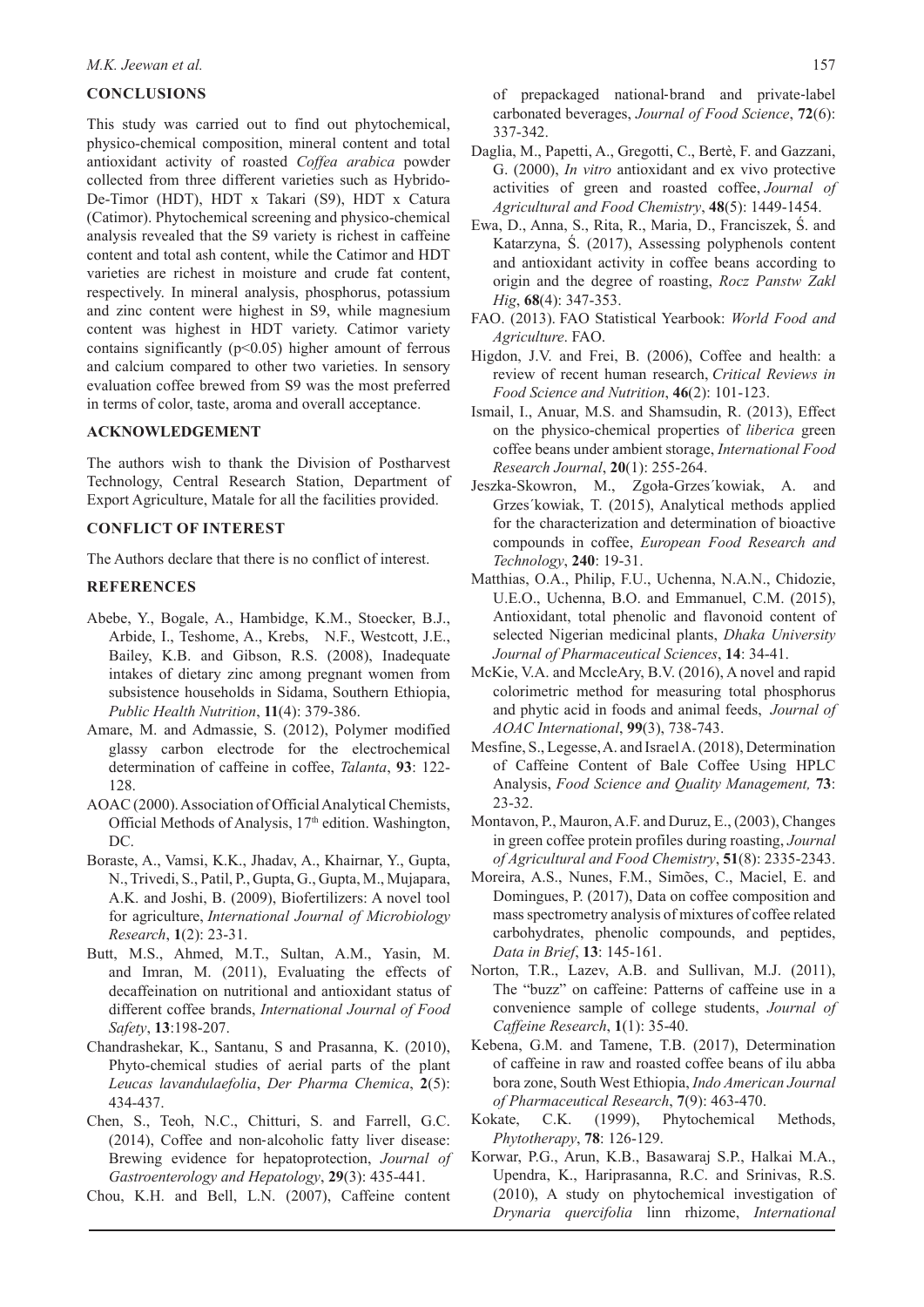### **CONCLUSIONS**

This study was carried out to find out phytochemical, physico-chemical composition, mineral content and total antioxidant activity of roasted *Coffea arabica* powder collected from three different varieties such as Hybrido-De-Timor (HDT), HDT x Takari (S9), HDT x Catura (Catimor). Phytochemical screening and physico-chemical analysis revealed that the S9 variety is richest in caffeine content and total ash content, while the Catimor and HDT varieties are richest in moisture and crude fat content, respectively. In mineral analysis, phosphorus, potassium and zinc content were highest in S9, while magnesium content was highest in HDT variety. Catimor variety contains significantly  $(p<0.05)$  higher amount of ferrous and calcium compared to other two varieties. In sensory evaluation coffee brewed from S9 was the most preferred in terms of color, taste, aroma and overall acceptance.

## **ACKNOWLEDGEMENT**

The authors wish to thank the Division of Postharvest Technology, Central Research Station, Department of Export Agriculture, Matale for all the facilities provided.

### **CONFLICT OF INTEREST**

The Authors declare that there is no conflict of interest.

#### **REFERENCES**

- Abebe, Y., Bogale, A., Hambidge, K.M., Stoecker, B.J., Arbide, I., Teshome, A., Krebs, N.F., Westcott, J.E., Bailey, K.B. and Gibson, R.S. (2008), Inadequate intakes of dietary zinc among pregnant women from subsistence households in Sidama, Southern Ethiopia, *Public Health Nutrition*, **11**(4): 379-386.
- Amare, M. and Admassie, S. (2012), Polymer modified glassy carbon electrode for the electrochemical determination of caffeine in coffee, *Talanta*, **93**: 122- 128.
- AOAC (2000). Association of Official Analytical Chemists, Official Methods of Analysis, 17<sup>th</sup> edition. Washington, DC.
- Boraste, A., Vamsi, K.K., Jhadav, A., Khairnar, Y., Gupta, N., Trivedi, S., Patil, P., Gupta, G., Gupta, M., Mujapara, A.K. and Joshi, B. (2009), Biofertilizers: A novel tool for agriculture, *International Journal of Microbiology Research*, **1**(2): 23-31.
- Butt, M.S., Ahmed, M.T., Sultan, A.M., Yasin, M. and Imran, M. (2011), Evaluating the effects of decaffeination on nutritional and antioxidant status of different coffee brands, *International Journal of Food Safety*, **13**:198-207.
- Chandrashekar, K., Santanu, S and Prasanna, K. (2010), Phyto-chemical studies of aerial parts of the plant *Leucas lavandulaefolia*, *Der Pharma Chemica*, **2**(5): 434-437.
- Chen, S., Teoh, N.C., Chitturi, S. and Farrell, G.C. (2014), Coffee and non‐alcoholic fatty liver disease: Brewing evidence for hepatoprotection, *Journal of Gastroenterology and Hepatology*, **29**(3): 435-441.
- Chou, K.H. and Bell, L.N. (2007), Caffeine content

of prepackaged national‐brand and private‐label carbonated beverages, *Journal of Food Science*, **72**(6): 337-342.

- Daglia, M., Papetti, A., Gregotti, C., Bertè, F. and Gazzani, G. (2000), *In vitro* antioxidant and ex vivo protective activities of green and roasted coffee, *Journal of Agricultural and Food Chemistry*, **48**(5): 1449-1454.
- Ewa, D., Anna, S., Rita, R., Maria, D., Franciszek, Ś. and Katarzyna, Ś. (2017), Assessing polyphenols content and antioxidant activity in coffee beans according to origin and the degree of roasting, *Rocz Panstw Zakl Hig*, **68**(4): 347-353.
- FAO. (2013). FAO Statistical Yearbook: *World Food and Agriculture*. FAO.
- Higdon, J.V. and Frei, B. (2006), Coffee and health: a review of recent human research, *Critical Reviews in Food Science and Nutrition*, **46**(2): 101-123.
- Ismail, I., Anuar, M.S. and Shamsudin, R. (2013), Effect on the physico-chemical properties of *liberica* green coffee beans under ambient storage, *International Food Research Journal*, **20**(1): 255-264.
- Jeszka-Skowron, M., Zgoła-Grzes´kowiak, A. and Grzes´kowiak, T. (2015), Analytical methods applied for the characterization and determination of bioactive compounds in coffee, *European Food Research and Technology*, **240**: 19-31.
- Matthias, O.A., Philip, F.U., Uchenna, N.A.N., Chidozie, U.E.O., Uchenna, B.O. and Emmanuel, C.M. (2015), Antioxidant, total phenolic and flavonoid content of selected Nigerian medicinal plants, *Dhaka University Journal of Pharmaceutical Sciences*, **14**: 34-41.
- McKie, V.A. and MccleAry, B.V. (2016), A novel and rapid colorimetric method for measuring total phosphorus and phytic acid in foods and animal feeds, *Journal of AOAC International*, **99**(3), 738-743.
- Mesfine, S., Legesse, A. and Israel A. (2018), Determination of Caffeine Content of Bale Coffee Using HPLC Analysis, *Food Science and Quality Management,* **73**: 23-32.
- Montavon, P., Mauron, A.F. and Duruz, E., (2003), Changes in green coffee protein profiles during roasting, *Journal of Agricultural and Food Chemistry*, **51**(8): 2335-2343.
- Moreira, A.S., Nunes, F.M., Simões, C., Maciel, E. and Domingues, P. (2017), Data on coffee composition and mass spectrometry analysis of mixtures of coffee related carbohydrates, phenolic compounds, and peptides, *Data in Brief*, **13**: 145-161.
- Norton, T.R., Lazev, A.B. and Sullivan, M.J. (2011), The "buzz" on caffeine: Patterns of caffeine use in a convenience sample of college students, *Journal of Caffeine Research*, **1**(1): 35-40.
- Kebena, G.M. and Tamene, T.B. (2017), Determination of caffeine in raw and roasted coffee beans of ilu abba bora zone, South West Ethiopia, *Indo American Journal of Pharmaceutical Research*, **7**(9): 463-470.
- Kokate, C.K. (1999), Phytochemical Methods, *Phytotherapy*, **78**: 126-129.
- Korwar, P.G., Arun, K.B., Basawaraj S.P., Halkai M.A., Upendra, K., Hariprasanna, R.C. and Srinivas, R.S. (2010), A study on phytochemical investigation of *Drynaria quercifolia* linn rhizome, *International*